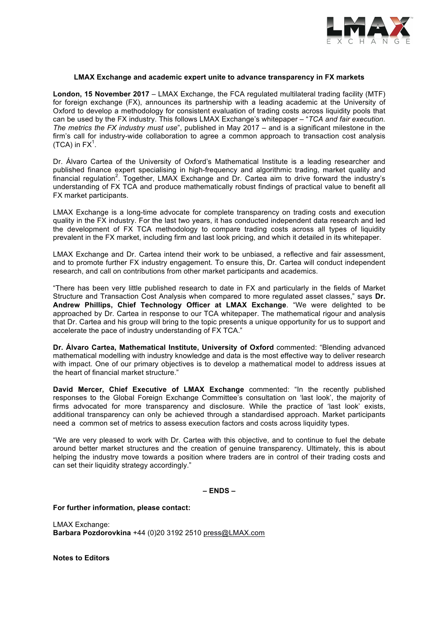

#### **LMAX Exchange and academic expert unite to advance transparency in FX markets**

**London, 15 November 2017** – LMAX Exchange, the FCA regulated multilateral trading facility (MTF) for foreign exchange (FX), announces its partnership with a leading academic at the University of Oxford to develop a methodology for consistent evaluation of trading costs across liquidity pools that can be used by the FX industry. This follows LMAX Exchange's whitepaper – "*TCA and fair execution. The metrics the FX industry must use*", published in May 2017 – and is a significant milestone in the firm's call for industry-wide collaboration to agree a common approach to transaction cost analysis (TCA) in  $FX^1$ .

Dr. Álvaro Cartea of the University of Oxford's Mathematical Institute is a leading researcher and published finance expert specialising in high-frequency and algorithmic trading, market quality and financial regulation<sup>2</sup>. Together, LMAX Exchange and Dr. Cartea aim to drive forward the industry's understanding of FX TCA and produce mathematically robust findings of practical value to benefit all FX market participants.

LMAX Exchange is a long-time advocate for complete transparency on trading costs and execution quality in the FX industry. For the last two years, it has conducted independent data research and led the development of FX TCA methodology to compare trading costs across all types of liquidity prevalent in the FX market, including firm and last look pricing, and which it detailed in its whitepaper.

LMAX Exchange and Dr. Cartea intend their work to be unbiased, a reflective and fair assessment, and to promote further FX industry engagement. To ensure this, Dr. Cartea will conduct independent research, and call on contributions from other market participants and academics.

"There has been very little published research to date in FX and particularly in the fields of Market Structure and Transaction Cost Analysis when compared to more regulated asset classes," says **Dr. Andrew Phillips, Chief Technology Officer at LMAX Exchange**. "We were delighted to be approached by Dr. Cartea in response to our TCA whitepaper. The mathematical rigour and analysis that Dr. Cartea and his group will bring to the topic presents a unique opportunity for us to support and accelerate the pace of industry understanding of FX TCA."

**Dr. Álvaro Cartea, Mathematical Institute, University of Oxford** commented: "Blending advanced mathematical modelling with industry knowledge and data is the most effective way to deliver research with impact. One of our primary objectives is to develop a mathematical model to address issues at the heart of financial market structure."

**David Mercer, Chief Executive of LMAX Exchange** commented: "In the recently published responses to the Global Foreign Exchange Committee's consultation on 'last look', the majority of firms advocated for more transparency and disclosure. While the practice of 'last look' exists, additional transparency can only be achieved through a standardised approach. Market participants need a common set of metrics to assess execution factors and costs across liquidity types.

"We are very pleased to work with Dr. Cartea with this objective, and to continue to fuel the debate around better market structures and the creation of genuine transparency. Ultimately, this is about helping the industry move towards a position where traders are in control of their trading costs and can set their liquidity strategy accordingly."

**– ENDS –**

**For further information, please contact:** 

LMAX Exchange: **Barbara Pozdorovkina** +44 (0)20 3192 2510 press@LMAX.com

**Notes to Editors**